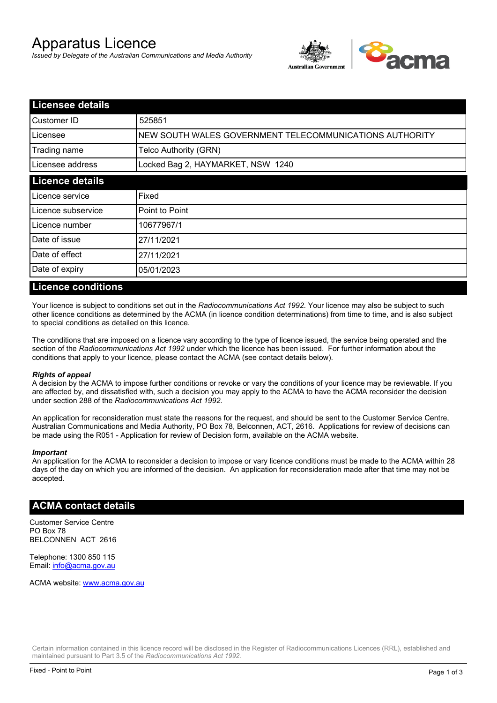# Apparatus Licence

*Issued by Delegate of the Australian Communications and Media Authority*



| <b>Licensee details</b> |                                                         |  |
|-------------------------|---------------------------------------------------------|--|
| Customer ID             | 525851                                                  |  |
| Licensee                | NEW SOUTH WALES GOVERNMENT TELECOMMUNICATIONS AUTHORITY |  |
| Trading name            | Telco Authority (GRN)                                   |  |
| Licensee address        | Locked Bag 2, HAYMARKET, NSW 1240                       |  |
| <b>Licence details</b>  |                                                         |  |
| Licence service         | Fixed                                                   |  |
| Licence subservice      | Point to Point                                          |  |
| Licence number          | 10677967/1                                              |  |
| Date of issue           | 27/11/2021                                              |  |
| Date of effect          | 27/11/2021                                              |  |
| Date of expiry          | 05/01/2023                                              |  |

#### **Licence conditions**

Your licence is subject to conditions set out in the *Radiocommunications Act 1992*. Your licence may also be subject to such other licence conditions as determined by the ACMA (in licence condition determinations) from time to time, and is also subject to special conditions as detailed on this licence.

The conditions that are imposed on a licence vary according to the type of licence issued, the service being operated and the section of the *Radiocommunications Act 1992* under which the licence has been issued. For further information about the conditions that apply to your licence, please contact the ACMA (see contact details below).

#### *Rights of appeal*

A decision by the ACMA to impose further conditions or revoke or vary the conditions of your licence may be reviewable. If you are affected by, and dissatisfied with, such a decision you may apply to the ACMA to have the ACMA reconsider the decision under section 288 of the *Radiocommunications Act 1992*.

An application for reconsideration must state the reasons for the request, and should be sent to the Customer Service Centre, Australian Communications and Media Authority, PO Box 78, Belconnen, ACT, 2616. Applications for review of decisions can be made using the R051 - Application for review of Decision form, available on the ACMA website.

#### *Important*

An application for the ACMA to reconsider a decision to impose or vary licence conditions must be made to the ACMA within 28 days of the day on which you are informed of the decision. An application for reconsideration made after that time may not be accepted.

#### **ACMA contact details**

Customer Service Centre PO Box 78 BELCONNEN ACT 2616

Telephone: 1300 850 115 Email: info@acma.gov.au

ACMA website: www.acma.gov.au

Certain information contained in this licence record will be disclosed in the Register of Radiocommunications Licences (RRL), established and maintained pursuant to Part 3.5 of the *Radiocommunications Act 1992.*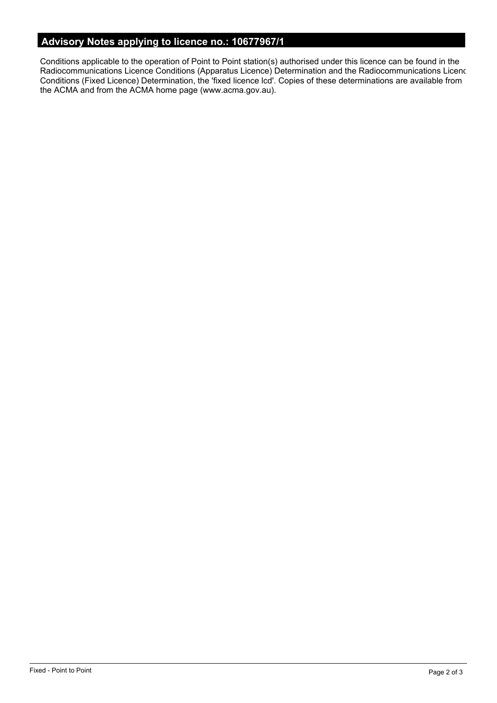# **Advisory Notes applying to licence no.: 10677967/1**

Conditions applicable to the operation of Point to Point station(s) authorised under this licence can be found in the Radiocommunications Licence Conditions (Apparatus Licence) Determination and the Radiocommunications Licence Conditions (Fixed Licence) Determination, the 'fixed licence lcd'. Copies of these determinations are available from the ACMA and from the ACMA home page (www.acma.gov.au).